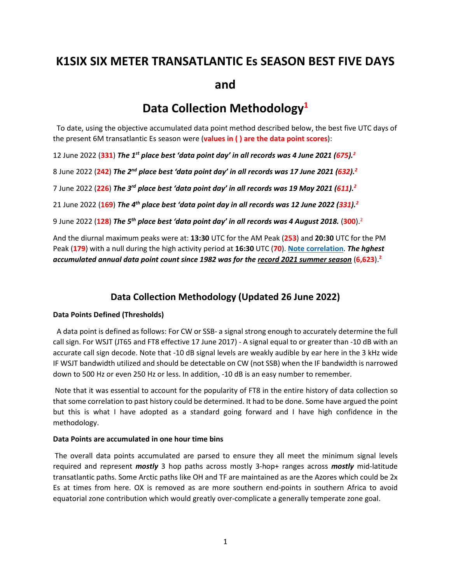# **K1SIX SIX METER TRANSATLANTIC Es SEASON BEST FIVE DAYS and**

# **Data Collection Methodology1**

 To date, using the objective accumulated data point method described below, the best five UTC days of the present 6M transatlantic Es season were (**values in ( ) are the data point scores**):

12 June 2022 (**331**) *The 1st place best 'data point day' in all records was 4 June 2021 (675).2*

8 June 2022 (**242**) *The 2nd place best 'data point day' in all records was 17 June 2021 (632).2*

7 June 2022 (**226**) *The 3rd place best 'data point day' in all records was 19 May 2021 (611).2*

21 June 2022 (**169**) *The 4th place best 'data point day in all records was 12 June 2022 (331). 2*

9 June 2022 (**128**) *The 5th place best 'data point day' in all records was 4 August 2018.* (**300**).2

And the diurnal maximum peaks were at: **13:30** UTC for the AM Peak (**253**) and **20:30** UTC for the PM Peak (**179**) with a null during the high activity period at **16:30** UTC (**70**). **[Note correlation](https://www.k1six.com/K1SIX_XATL_DiurnalVariation.pdf)**. *The hghest accumulated annual data point count since 1982 was for the record 2021 summer season* (**6,623**).**<sup>2</sup>**

# **Data Collection Methodology (Updated 26 June 2022)**

# **Data Points Defined (Thresholds)**

 A data point is defined as follows: For CW or SSB- a signal strong enough to accurately determine the full call sign. For WSJT (JT65 and FT8 effective 17 June 2017) - A signal equal to or greater than -10 dB with an accurate call sign decode. Note that -10 dB signal levels are weakly audible by ear here in the 3 kHz wide IF WSJT bandwidth utilized and should be detectable on CW (not SSB) when the IF bandwidth is narrowed down to 500 Hz or even 250 Hz or less. In addition, -10 dB is an easy number to remember.

Note that it was essential to account for the popularity of FT8 in the entire history of data collection so that some correlation to past history could be determined. It had to be done. Some have argued the point but this is what I have adopted as a standard going forward and I have high confidence in the methodology.

# **Data Points are accumulated in one hour time bins**

The overall data points accumulated are parsed to ensure they all meet the minimum signal levels required and represent *mostly* 3 hop paths across mostly 3-hop+ ranges across *mostly* mid-latitude transatlantic paths. Some Arctic paths like OH and TF are maintained as are the Azores which could be 2x Es at times from here. OX is removed as are more southern end-points in southern Africa to avoid equatorial zone contribution which would greatly over-complicate a generally temperate zone goal.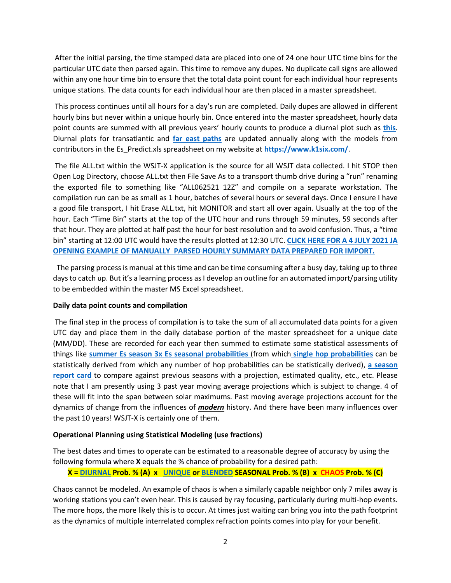After the initial parsing, the time stamped data are placed into one of 24 one hour UTC time bins for the particular UTC date then parsed again. This time to remove any dupes. No duplicate call signs are allowed within any one hour time bin to ensure that the total data point count for each individual hour represents unique stations. The data counts for each individual hour are then placed in a master spreadsheet.

This process continues until all hours for a day's run are completed. Daily dupes are allowed in different hourly bins but never within a unique hourly bin. Once entered into the master spreadsheet, hourly data point counts are summed with all previous years' hourly counts to produce a diurnal plot such as **[this](https://www.k1six.com/K1SIX_XATL_DiurnalVariation.pdf)**. Diurnal plots for transatlantic and **[far east paths](https://www.k1six.com/K1SIX_JA_SSSP.pdf)** are updated annually along with the models from contributors in the Es\_Predict.xls spreadsheet on my website at **<https://www.k1six.com/>**.

The file ALL.txt within the WSJT-X application is the source for all WSJT data collected. I hit STOP then Open Log Directory, choose ALL.txt then File Save As to a transport thumb drive during a "run" renaming the exported file to something like "ALL062521 12Z" and compile on a separate workstation. The compilation run can be as small as 1 hour, batches of several hours or several days. Once I ensure I have a good file transport, I hit Erase ALL.txt, hit MONITOR and start all over again. Usually at the top of the hour. Each "Time Bin" starts at the top of the UTC hour and runs through 59 minutes, 59 seconds after that hour. They are plotted at half past the hour for best resolution and to avoid confusion. Thus, a "time bin" starting at 12:00 UTC would have the results plotted at 12:30 UTC. **[CLICK HERE FOR A 4 JULY 2021 JA](https://www.k1six.com/Parsed_JA.txt)  OPENING EXAMPLE OF [MANUALLY PARSED HOURLY SUMMARY DATA PREPARED](https://www.k1six.com/Parsed_JA.txt) FOR IMPORT.**

 The parsing process is manual at this time and can be time consuming after a busy day, taking up to three days to catch up. But it's a learning process as I develop an outline for an automated import/parsing utility to be embedded within the master MS Excel spreadsheet.

# **Daily data point counts and compilation**

The final step in the process of compilation is to take the sum of all accumulated data points for a given UTC day and place them in the daily database portion of the master spreadsheet for a unique date (MM/DD). These are recorded for each year then summed to estimate some statistical assessments of things like **[summer Es season 3x Es seasonal probabilities](https://www.k1six.com/CHART_SEASONAL_XATL_BaselineProb.pdf)** (from which **[single hop probabilities](https://www.k1six.com/1_Hop_Probability.pdf)** can be statistically derived from which any number of hop probabilities can be statistically derived), **[a season](https://www.k1six.com/K1SIX_XATL_Days_Open.pdf)  [report card](https://www.k1six.com/K1SIX_XATL_Days_Open.pdf)** to compare against previous seasons with a projection, estimated quality, etc., etc. Please note that I am presently using 3 past year moving average projections which is subject to change. 4 of these will fit into the span between solar maximums. Past moving average projections account for the dynamics of change from the influences of *modern* history. And there have been many influences over the past 10 years! WSJT-X is certainly one of them.

# **Operational Planning using Statistical Modeling (use fractions)**

The best dates and times to operate can be estimated to a reasonable degree of accuracy by using the following formula where **X** equals the % chance of probability for a desired path:

# **X [= DIURNAL](https://www.k1six.com/K1SIX_XATL_DiurnalVariation.pdf) Prob. % (A) x [UNIQUE](https://www.k1six.com/SEASONAL_XATL_BaselineProb.pdf) o[r BLENDED](https://www.k1six.com/Multisource_LongHaul_DailyEs_Prob.pdf) SEASONAL Prob. % (B) x CHAOS Prob. % (C)**

Chaos cannot be modeled. An example of chaos is when a similarly capable neighbor only 7 miles away is working stations you can't even hear. This is caused by ray focusing, particularly during multi-hop events. The more hops, the more likely this is to occur. At times just waiting can bring you into the path footprint as the dynamics of multiple interrelated complex refraction points comes into play for your benefit.